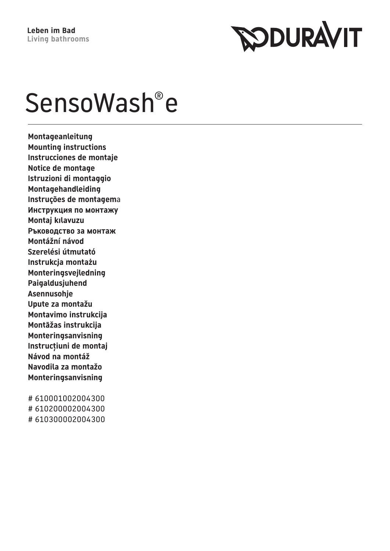

# SensoWash®e

**Montageanleitung Mounting instructions Instrucciones de montaje Notice de montage Istruzioni di montaggio Montagehandleiding Instruções de montagem**a **Инструкция по монтажу Montaj kılavuzu Ръководство за монтаж Montážní návod Szerelési útmutató Instrukcja montażu Monteringsvejledning Paigaldusjuhend Asennusohje Upute za montažu Montavimo instrukcija Montāžas instrukcija Monteringsanvisning Instrucțiuni de montaj Návod na montáž Navodila za montažo Monteringsanvisning**

# 610001002004300 # 610200002004300 # 610300002004300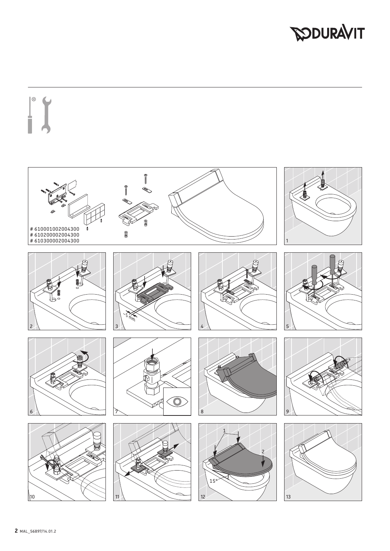# **DOURAVIT**

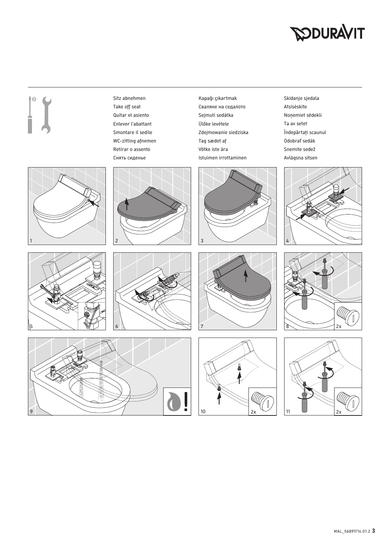# **SODURAVIT**

Sitz abnehmen Take off seat Quitar el asiento Enlever l'abattant Smontare il sedile WC-zitting afnemen Retirar o assento Снять сиденье

1  $\vert$  2  $\vert$  3

Kapağı çıkartmak Сваляне на седалото Sejmutí sedátka Ülőke levétele Zdejmowanie siedziska Tag sædet af Võtke iste ära Istuimen irrottaminen



Skidanje sjedala Atsisėskite Noņemiet sēdekli Ta av setet Îndepărtaţi scaunul Odobrať sedák Snemite sedež Avlägsna sitsen













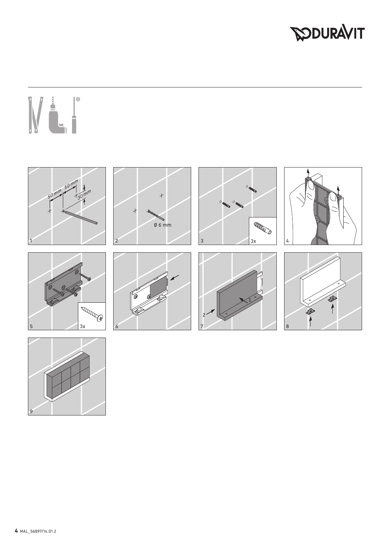# **DOURAVIT**

# 



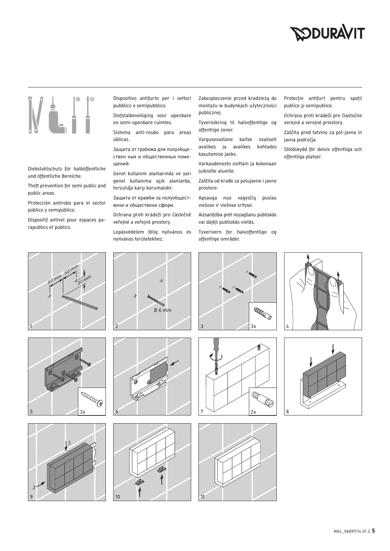# **SODURAVIT**



# Diebstahlschutz für halböffentliche und öffentliche Bereiche.

Theft prevention for semi public and public areas.

Protección antirobo para el sector público y semipúblico.

Dispositif antivol pour espaces parapublics et publics.



Diefstalbeveiliging voor openbare en semi-openbare ruimtes.

Sistema anti-roubo para áreas úblicas.

Защита от грабежа для полуобществен ных и общественных помещений.

Genel kullanım alanlarında ve yarı genel kullanıma açık alanlarda, hırsızlığa karşı korumalıdır.

Защита от кражби за полуобществени и обществени сфери.

Ochrana proti krádeži pro částečně veřejné a veřejné prostory.

Lopásvédelem félig nyilvános és nyilvános területekhez.

Zabezpieczenie przed kradzieżą do montażu w budynkach użyteczności publicznej.

Tyverisikring til halvoffentlige og offentlige zoner.

Vargusevastane kaitse osaliselt avalikes ja avalikes kohtades kasutamise jaoks.

Varkaudenesto osittain ja kokonaan julkisille alueille.

Zaštita od krađe za polujavne i javne prostore.

Apsauga nuo vagysčių pusiau viešose ir viešose srityse.

Aizsardzība pret nozagšanu publiskās vai daļēji publiskās vietās.

Tyverivern for halvoffentlige og offentlige områder.

Protecţie antifurt pentru spaţii publice şi semipublice.

Ochrana proti krádeži pre čiastočne verejné a verejné priestory.

Zaščita pred tatvino za pol-javna in javna področja.

Stöldskydd för delvis offentliga och offentliga platser.













Ø 6 mm





**ARRED**